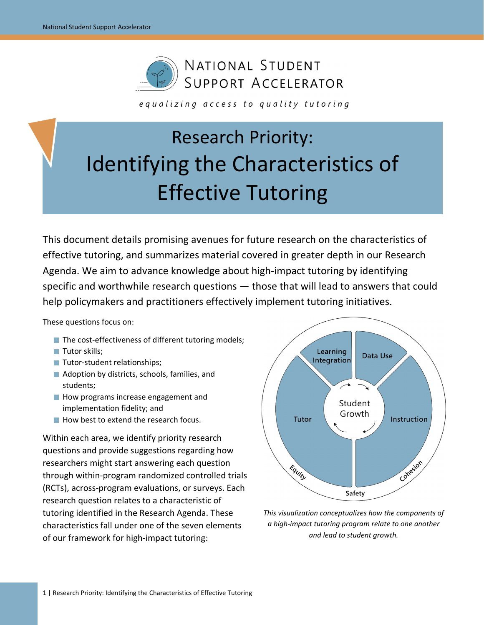

equalizing access to quality tutoring

# Research Priority: Identifying the Characteristics of Effective Tutoring

This document details promising avenues for future research on the characteristics of effective tutoring, and summarizes material covered in greater depth in our Research Agenda. We aim to advance knowledge about high-impact tutoring by identifying specific and worthwhile research questions — those that will lead to answers that could help policymakers and practitioners effectively implement tutoring initiatives.

These questions focus on:

- The cost-effectiveness of different tutoring models;
- Tutor skills;
- Tutor-student relationships;
- Adoption by districts, schools, families, and students;
- How programs increase engagement and implementation fidelity; and
- How best to extend the research focus.

Within each area, we identify priority research questions and provide suggestions regarding how researchers might start answering each question through within-program randomized controlled trials (RCTs), across-program evaluations, or surveys. Each research question relates to a characteristic of tutoring identified in the Research Agenda. These characteristics fall under one of the seven elements of our framework for high-impact tutoring:



*This visualization conceptualizes how the components of a high-impact tutoring program relate to one another and lead to student growth.*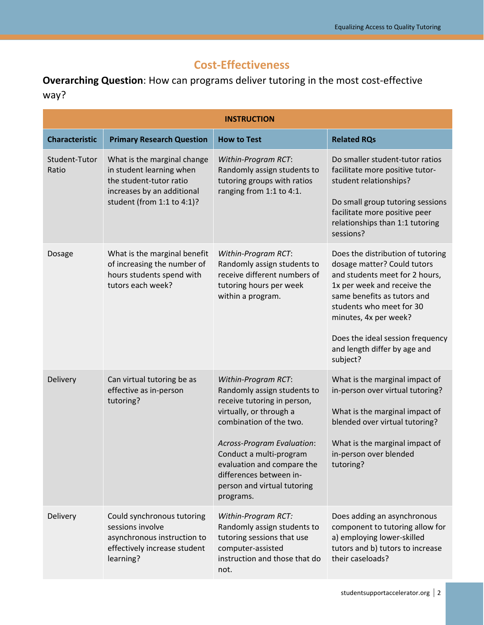## **Cost-Effectiveness**

**Overarching Question**: How can programs deliver tutoring in the most cost-effective way?

|                        | <b>INSTRUCTION</b>                                                                                                                             |                                                                                                                                                                                                                                                                                                       |                                                                                                                                                                                                                                                                                                       |  |
|------------------------|------------------------------------------------------------------------------------------------------------------------------------------------|-------------------------------------------------------------------------------------------------------------------------------------------------------------------------------------------------------------------------------------------------------------------------------------------------------|-------------------------------------------------------------------------------------------------------------------------------------------------------------------------------------------------------------------------------------------------------------------------------------------------------|--|
| <b>Characteristic</b>  | <b>Primary Research Question</b>                                                                                                               | <b>How to Test</b>                                                                                                                                                                                                                                                                                    | <b>Related RQs</b>                                                                                                                                                                                                                                                                                    |  |
| Student-Tutor<br>Ratio | What is the marginal change<br>in student learning when<br>the student-tutor ratio<br>increases by an additional<br>student (from 1:1 to 4:1)? | Within-Program RCT:<br>Randomly assign students to<br>tutoring groups with ratios<br>ranging from 1:1 to 4:1.                                                                                                                                                                                         | Do smaller student-tutor ratios<br>facilitate more positive tutor-<br>student relationships?<br>Do small group tutoring sessions<br>facilitate more positive peer<br>relationships than 1:1 tutoring<br>sessions?                                                                                     |  |
| Dosage                 | What is the marginal benefit<br>of increasing the number of<br>hours students spend with<br>tutors each week?                                  | Within-Program RCT:<br>Randomly assign students to<br>receive different numbers of<br>tutoring hours per week<br>within a program.                                                                                                                                                                    | Does the distribution of tutoring<br>dosage matter? Could tutors<br>and students meet for 2 hours,<br>1x per week and receive the<br>same benefits as tutors and<br>students who meet for 30<br>minutes, 4x per week?<br>Does the ideal session frequency<br>and length differ by age and<br>subject? |  |
| Delivery               | Can virtual tutoring be as<br>effective as in-person<br>tutoring?                                                                              | Within-Program RCT:<br>Randomly assign students to<br>receive tutoring in person,<br>virtually, or through a<br>combination of the two.<br>Across-Program Evaluation:<br>Conduct a multi-program<br>evaluation and compare the<br>differences between in-<br>person and virtual tutoring<br>programs. | What is the marginal impact of<br>in-person over virtual tutoring?<br>What is the marginal impact of<br>blended over virtual tutoring?<br>What is the marginal impact of<br>in-person over blended<br>tutoring?                                                                                       |  |
| Delivery               | Could synchronous tutoring<br>sessions involve<br>asynchronous instruction to<br>effectively increase student<br>learning?                     | Within-Program RCT:<br>Randomly assign students to<br>tutoring sessions that use<br>computer-assisted<br>instruction and those that do<br>not.                                                                                                                                                        | Does adding an asynchronous<br>component to tutoring allow for<br>a) employing lower-skilled<br>tutors and b) tutors to increase<br>their caseloads?                                                                                                                                                  |  |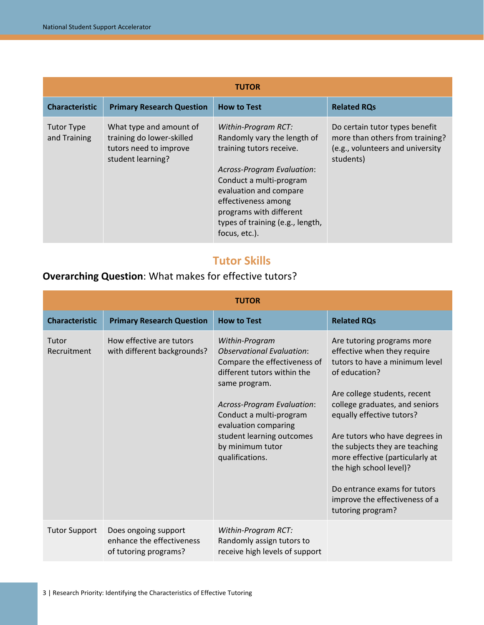| <b>TUTOR</b>                      |                                                                                                     |                                                                                                                                                                                                                                                                                 |                                                                                                                    |
|-----------------------------------|-----------------------------------------------------------------------------------------------------|---------------------------------------------------------------------------------------------------------------------------------------------------------------------------------------------------------------------------------------------------------------------------------|--------------------------------------------------------------------------------------------------------------------|
| <b>Characteristic</b>             | <b>Primary Research Question</b>                                                                    | <b>How to Test</b>                                                                                                                                                                                                                                                              | <b>Related RQs</b>                                                                                                 |
| <b>Tutor Type</b><br>and Training | What type and amount of<br>training do lower-skilled<br>tutors need to improve<br>student learning? | Within-Program RCT:<br>Randomly vary the length of<br>training tutors receive.<br><b>Across-Program Evaluation:</b><br>Conduct a multi-program<br>evaluation and compare<br>effectiveness among<br>programs with different<br>types of training (e.g., length,<br>focus, etc.). | Do certain tutor types benefit<br>more than others from training?<br>(e.g., volunteers and university<br>students) |

#### **Tutor Skills**

### **Overarching Question**: What makes for effective tutors?

| <b>TUTOR</b>          |                                                                            |                                                                                                                                                                                                                                                                                                |                                                                                                                                                                                                                                                                                                                                                                                                                                      |  |
|-----------------------|----------------------------------------------------------------------------|------------------------------------------------------------------------------------------------------------------------------------------------------------------------------------------------------------------------------------------------------------------------------------------------|--------------------------------------------------------------------------------------------------------------------------------------------------------------------------------------------------------------------------------------------------------------------------------------------------------------------------------------------------------------------------------------------------------------------------------------|--|
| <b>Characteristic</b> | <b>Primary Research Question</b>                                           | <b>How to Test</b>                                                                                                                                                                                                                                                                             | <b>Related RQs</b>                                                                                                                                                                                                                                                                                                                                                                                                                   |  |
| Tutor<br>Recruitment  | How effective are tutors<br>with different backgrounds?                    | Within-Program<br><b>Observational Evaluation:</b><br>Compare the effectiveness of<br>different tutors within the<br>same program.<br><b>Across-Program Evaluation:</b><br>Conduct a multi-program<br>evaluation comparing<br>student learning outcomes<br>by minimum tutor<br>qualifications. | Are tutoring programs more<br>effective when they require<br>tutors to have a minimum level<br>of education?<br>Are college students, recent<br>college graduates, and seniors<br>equally effective tutors?<br>Are tutors who have degrees in<br>the subjects they are teaching<br>more effective (particularly at<br>the high school level)?<br>Do entrance exams for tutors<br>improve the effectiveness of a<br>tutoring program? |  |
| <b>Tutor Support</b>  | Does ongoing support<br>enhance the effectiveness<br>of tutoring programs? | Within-Program RCT:<br>Randomly assign tutors to<br>receive high levels of support                                                                                                                                                                                                             |                                                                                                                                                                                                                                                                                                                                                                                                                                      |  |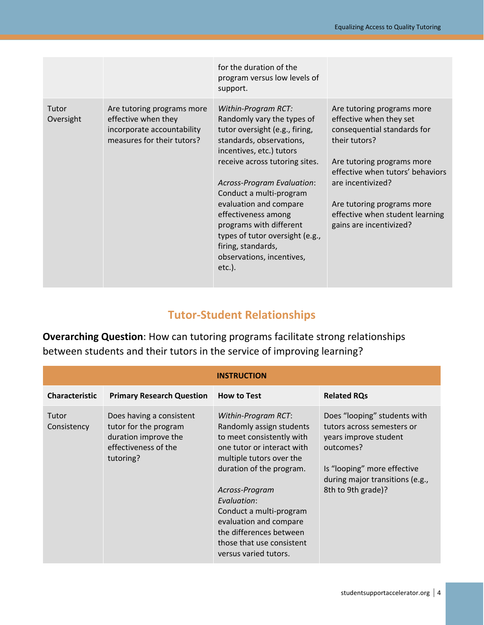|                    |                                                                                                               | for the duration of the<br>program versus low levels of<br>support.                                                                                                                                                                                                                                                                                                                                                   |                                                                                                                                                                                                                                                                                          |
|--------------------|---------------------------------------------------------------------------------------------------------------|-----------------------------------------------------------------------------------------------------------------------------------------------------------------------------------------------------------------------------------------------------------------------------------------------------------------------------------------------------------------------------------------------------------------------|------------------------------------------------------------------------------------------------------------------------------------------------------------------------------------------------------------------------------------------------------------------------------------------|
| Tutor<br>Oversight | Are tutoring programs more<br>effective when they<br>incorporate accountability<br>measures for their tutors? | Within-Program RCT:<br>Randomly vary the types of<br>tutor oversight (e.g., firing,<br>standards, observations,<br>incentives, etc.) tutors<br>receive across tutoring sites.<br>Across-Program Evaluation:<br>Conduct a multi-program<br>evaluation and compare<br>effectiveness among<br>programs with different<br>types of tutor oversight (e.g.,<br>firing, standards,<br>observations, incentives,<br>$etc.$ ). | Are tutoring programs more<br>effective when they set<br>consequential standards for<br>their tutors?<br>Are tutoring programs more<br>effective when tutors' behaviors<br>are incentivized?<br>Are tutoring programs more<br>effective when student learning<br>gains are incentivized? |

#### **Tutor-Student Relationships**

**Overarching Question**: How can tutoring programs facilitate strong relationships between students and their tutors in the service of improving learning?

| <b>INSTRUCTION</b>    |                                                                                                                |                                                                                                                                                                                                                                                                                                                                           |                                                                                                                                                                                          |  |
|-----------------------|----------------------------------------------------------------------------------------------------------------|-------------------------------------------------------------------------------------------------------------------------------------------------------------------------------------------------------------------------------------------------------------------------------------------------------------------------------------------|------------------------------------------------------------------------------------------------------------------------------------------------------------------------------------------|--|
| <b>Characteristic</b> | <b>Primary Research Question</b>                                                                               | <b>How to Test</b>                                                                                                                                                                                                                                                                                                                        | <b>Related RQs</b>                                                                                                                                                                       |  |
| Tutor<br>Consistency  | Does having a consistent<br>tutor for the program<br>duration improve the<br>effectiveness of the<br>tutoring? | Within-Program RCT:<br>Randomly assign students<br>to meet consistently with<br>one tutor or interact with<br>multiple tutors over the<br>duration of the program.<br>Across-Program<br>Evaluation:<br>Conduct a multi-program<br>evaluation and compare<br>the differences between<br>those that use consistent<br>versus varied tutors. | Does "looping" students with<br>tutors across semesters or<br>years improve student<br>outcomes?<br>Is "looping" more effective<br>during major transitions (e.g.,<br>8th to 9th grade)? |  |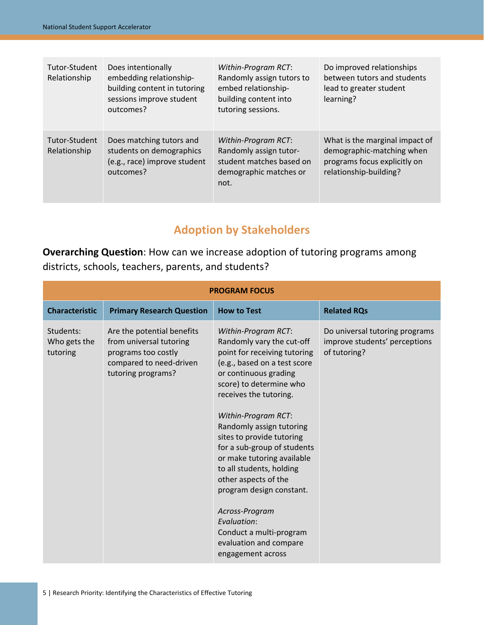| Tutor-Student<br>Relationship | Does intentionally<br>embedding relationship-<br>building content in tutoring<br>sessions improve student<br>outcomes? | Within-Program RCT:<br>Randomly assign tutors to<br>embed relationship-<br>building content into<br>tutoring sessions. | Do improved relationships<br>between tutors and students<br>lead to greater student<br>learning?                      |
|-------------------------------|------------------------------------------------------------------------------------------------------------------------|------------------------------------------------------------------------------------------------------------------------|-----------------------------------------------------------------------------------------------------------------------|
| Tutor-Student<br>Relationship | Does matching tutors and<br>students on demographics<br>(e.g., race) improve student<br>outcomes?                      | Within-Program RCT:<br>Randomly assign tutor-<br>student matches based on<br>demographic matches or<br>not.            | What is the marginal impact of<br>demographic-matching when<br>programs focus explicitly on<br>relationship-building? |

## **Adoption by Stakeholders**

**Overarching Question**: How can we increase adoption of tutoring programs among districts, schools, teachers, parents, and students?

| <b>PROGRAM FOCUS</b>                  |                                                                                                                               |                                                                                                                                                                                                                                                                                                                                                                                                                                                                                                                                        |                                                                                 |  |
|---------------------------------------|-------------------------------------------------------------------------------------------------------------------------------|----------------------------------------------------------------------------------------------------------------------------------------------------------------------------------------------------------------------------------------------------------------------------------------------------------------------------------------------------------------------------------------------------------------------------------------------------------------------------------------------------------------------------------------|---------------------------------------------------------------------------------|--|
| <b>Characteristic</b>                 | <b>Primary Research Question</b>                                                                                              | <b>How to Test</b>                                                                                                                                                                                                                                                                                                                                                                                                                                                                                                                     | <b>Related RQs</b>                                                              |  |
| Students:<br>Who gets the<br>tutoring | Are the potential benefits<br>from universal tutoring<br>programs too costly<br>compared to need-driven<br>tutoring programs? | Within-Program RCT:<br>Randomly vary the cut-off<br>point for receiving tutoring<br>(e.g., based on a test score<br>or continuous grading<br>score) to determine who<br>receives the tutoring.<br>Within-Program RCT:<br>Randomly assign tutoring<br>sites to provide tutoring<br>for a sub-group of students<br>or make tutoring available<br>to all students, holding<br>other aspects of the<br>program design constant.<br>Across-Program<br>Evaluation:<br>Conduct a multi-program<br>evaluation and compare<br>engagement across | Do universal tutoring programs<br>improve students' perceptions<br>of tutoring? |  |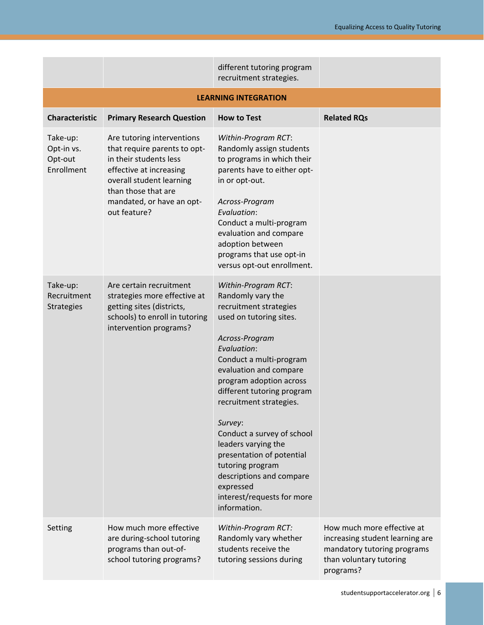|                                                 |                                                                                                                                                                                                                 | different tutoring program<br>recruitment strategies.                                                                                                                                                                                                                                                                                                                                                                                                                           |                                                                                                                                      |  |
|-------------------------------------------------|-----------------------------------------------------------------------------------------------------------------------------------------------------------------------------------------------------------------|---------------------------------------------------------------------------------------------------------------------------------------------------------------------------------------------------------------------------------------------------------------------------------------------------------------------------------------------------------------------------------------------------------------------------------------------------------------------------------|--------------------------------------------------------------------------------------------------------------------------------------|--|
| <b>LEARNING INTEGRATION</b>                     |                                                                                                                                                                                                                 |                                                                                                                                                                                                                                                                                                                                                                                                                                                                                 |                                                                                                                                      |  |
| <b>Characteristic</b>                           | <b>Primary Research Question</b>                                                                                                                                                                                | <b>How to Test</b>                                                                                                                                                                                                                                                                                                                                                                                                                                                              | <b>Related RQs</b>                                                                                                                   |  |
| Take-up:<br>Opt-in vs.<br>Opt-out<br>Enrollment | Are tutoring interventions<br>that require parents to opt-<br>in their students less<br>effective at increasing<br>overall student learning<br>than those that are<br>mandated, or have an opt-<br>out feature? | Within-Program RCT:<br>Randomly assign students<br>to programs in which their<br>parents have to either opt-<br>in or opt-out.<br>Across-Program<br>Evaluation:<br>Conduct a multi-program<br>evaluation and compare<br>adoption between<br>programs that use opt-in<br>versus opt-out enrollment.                                                                                                                                                                              |                                                                                                                                      |  |
| Take-up:<br>Recruitment<br><b>Strategies</b>    | Are certain recruitment<br>strategies more effective at<br>getting sites (districts,<br>schools) to enroll in tutoring<br>intervention programs?                                                                | Within-Program RCT:<br>Randomly vary the<br>recruitment strategies<br>used on tutoring sites.<br>Across-Program<br>Evaluation:<br>Conduct a multi-program<br>evaluation and compare<br>program adoption across<br>different tutoring program<br>recruitment strategies.<br>Survey:<br>Conduct a survey of school<br>leaders varying the<br>presentation of potential<br>tutoring program<br>descriptions and compare<br>expressed<br>interest/requests for more<br>information. |                                                                                                                                      |  |
| Setting                                         | How much more effective<br>are during-school tutoring<br>programs than out-of-<br>school tutoring programs?                                                                                                     | Within-Program RCT:<br>Randomly vary whether<br>students receive the<br>tutoring sessions during                                                                                                                                                                                                                                                                                                                                                                                | How much more effective at<br>increasing student learning are<br>mandatory tutoring programs<br>than voluntary tutoring<br>programs? |  |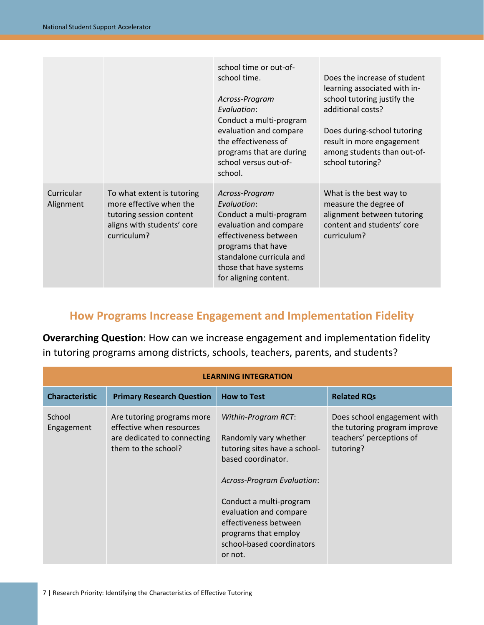|                         |                                                                                                                                | school time or out-of-<br>school time.<br>Across-Program<br>Evaluation:<br>Conduct a multi-program<br>evaluation and compare<br>the effectiveness of<br>programs that are during<br>school versus out-of-<br>school. | Does the increase of student<br>learning associated with in-<br>school tutoring justify the<br>additional costs?<br>Does during-school tutoring<br>result in more engagement<br>among students than out-of-<br>school tutoring? |
|-------------------------|--------------------------------------------------------------------------------------------------------------------------------|----------------------------------------------------------------------------------------------------------------------------------------------------------------------------------------------------------------------|---------------------------------------------------------------------------------------------------------------------------------------------------------------------------------------------------------------------------------|
| Curricular<br>Alignment | To what extent is tutoring<br>more effective when the<br>tutoring session content<br>aligns with students' core<br>curriculum? | Across-Program<br>Evaluation:<br>Conduct a multi-program<br>evaluation and compare<br>effectiveness between<br>programs that have<br>standalone curricula and<br>those that have systems<br>for aligning content.    | What is the best way to<br>measure the degree of<br>alignment between tutoring<br>content and students' core<br>curriculum?                                                                                                     |

## **How Programs Increase Engagement and Implementation Fidelity**

**Overarching Question**: How can we increase engagement and implementation fidelity in tutoring programs among districts, schools, teachers, parents, and students?

| <b>LEARNING INTEGRATION</b> |                                                                                                              |                                                                                                                                                                                                                                                                                        |                                                                                                      |  |
|-----------------------------|--------------------------------------------------------------------------------------------------------------|----------------------------------------------------------------------------------------------------------------------------------------------------------------------------------------------------------------------------------------------------------------------------------------|------------------------------------------------------------------------------------------------------|--|
| <b>Characteristic</b>       | <b>Primary Research Question</b>                                                                             | <b>How to Test</b>                                                                                                                                                                                                                                                                     | <b>Related RQs</b>                                                                                   |  |
| School<br>Engagement        | Are tutoring programs more<br>effective when resources<br>are dedicated to connecting<br>them to the school? | Within-Program RCT:<br>Randomly vary whether<br>tutoring sites have a school-<br>based coordinator.<br><b>Across-Program Evaluation:</b><br>Conduct a multi-program<br>evaluation and compare<br>effectiveness between<br>programs that employ<br>school-based coordinators<br>or not. | Does school engagement with<br>the tutoring program improve<br>teachers' perceptions of<br>tutoring? |  |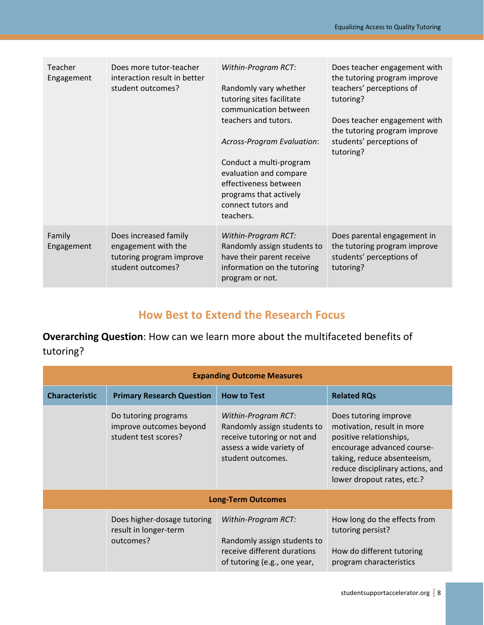| Teacher<br>Engagement | Does more tutor-teacher<br>interaction result in better<br>student outcomes?                  | Within-Program RCT:<br>Randomly vary whether<br>tutoring sites facilitate<br>communication between<br>teachers and tutors.<br>Across-Program Evaluation:<br>Conduct a multi-program<br>evaluation and compare<br>effectiveness between<br>programs that actively<br>connect tutors and<br>teachers. | Does teacher engagement with<br>the tutoring program improve<br>teachers' perceptions of<br>tutoring?<br>Does teacher engagement with<br>the tutoring program improve<br>students' perceptions of<br>tutoring? |
|-----------------------|-----------------------------------------------------------------------------------------------|-----------------------------------------------------------------------------------------------------------------------------------------------------------------------------------------------------------------------------------------------------------------------------------------------------|----------------------------------------------------------------------------------------------------------------------------------------------------------------------------------------------------------------|
| Family<br>Engagement  | Does increased family<br>engagement with the<br>tutoring program improve<br>student outcomes? | Within-Program RCT:<br>Randomly assign students to<br>have their parent receive<br>information on the tutoring<br>program or not.                                                                                                                                                                   | Does parental engagement in<br>the tutoring program improve<br>students' perceptions of<br>tutoring?                                                                                                           |

#### **How Best to Extend the Research Focus**

**Overarching Question**: How can we learn more about the multifaceted benefits of tutoring?

| <b>Expanding Outcome Measures</b> |                                                                         |                                                                                                                                    |                                                                                                                                                                                                               |
|-----------------------------------|-------------------------------------------------------------------------|------------------------------------------------------------------------------------------------------------------------------------|---------------------------------------------------------------------------------------------------------------------------------------------------------------------------------------------------------------|
| <b>Characteristic</b>             | <b>Primary Research Question</b>                                        | <b>How to Test</b>                                                                                                                 | <b>Related RQs</b>                                                                                                                                                                                            |
|                                   | Do tutoring programs<br>improve outcomes beyond<br>student test scores? | Within-Program RCT:<br>Randomly assign students to<br>receive tutoring or not and<br>assess a wide variety of<br>student outcomes. | Does tutoring improve<br>motivation, result in more<br>positive relationships,<br>encourage advanced course-<br>taking, reduce absenteeism,<br>reduce disciplinary actions, and<br>lower dropout rates, etc.? |
|                                   |                                                                         | <b>Long-Term Outcomes</b>                                                                                                          |                                                                                                                                                                                                               |
|                                   | Does higher-dosage tutoring<br>result in longer-term<br>outcomes?       | Within-Program RCT:<br>Randomly assign students to<br>receive different durations<br>of tutoring (e.g., one year,                  | How long do the effects from<br>tutoring persist?<br>How do different tutoring<br>program characteristics                                                                                                     |